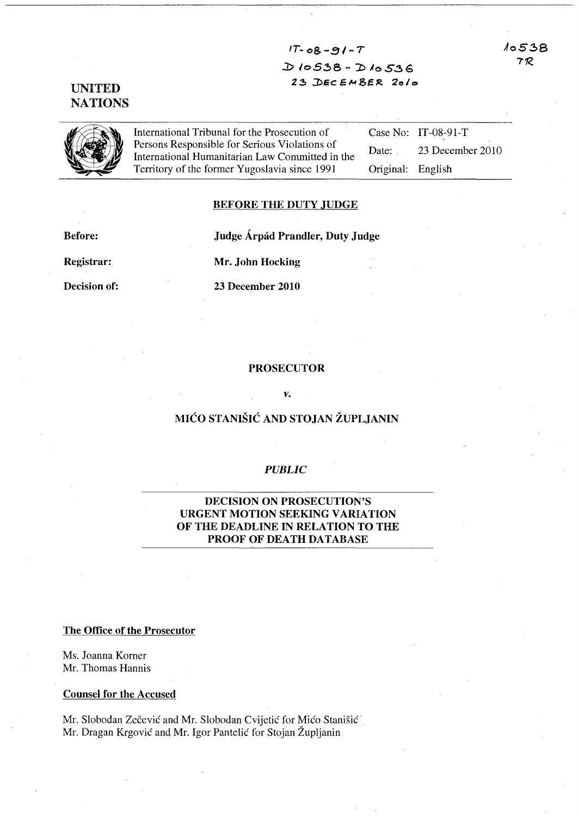Ao5~8 7R

 $1T-08-91-T$ *:D* JoS:!:> 8 - -:D JoS.:!>G 23 DEC EMBER 2010

International Tribunal for the Prosecution of<br>Persons Responsible for Serious Violations of<br>International Humanitarian Law Committed international Humanitarian Law Committed international Serious Serious<br>International Huma **Persons Responsible for Serious Violations of** International Humanitarian Law Committed in the Territory of the former Yugoslavia since 1991

Case No: IT-08-91-T Date: 23 December 2010 Original: English

## BEFORE THE DUTY JUDGE

Before: Judge Árpád Prandler, Duty Judge

Registrar: Mr. John Hocking

Decision of: 23 December 2010

## PROSECUTOR

#### *v.*

## MICO STANISIC AND STOJAN ZUPLJANIN

## *PUBLIC*

## DECISION ON PROSECUTION'S URGENT MOTION SEEKING VARIATION OF THE DEADLINE IN RELATION TO THE PROOF OF DEATH DATABASE

### The Office of the Prosecutor

Ms. Joanna Korner Mr. Thomas Hannis

## Counsel for the Accused

Mr. Slobodan Zečević and Mr. Slobodan Cvijetić for Mićo Stanišić Mr. Dragan Krgović and Mr. Igor Pantelić for Stojan Župljanin

# **NATIONS**

UNITED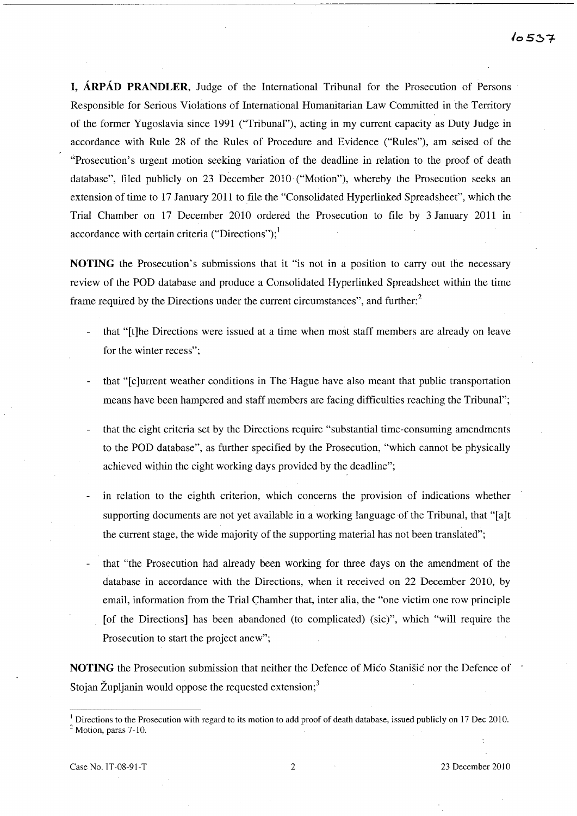I, ARPAD PRANDLER, Judge of the International Tribunal for the Prosecution of Persons Responsible for Serious Violations of International Humanitarian Law Committed in the Territory of the fonner Yugoslavia since 1991 ("Tribunal"), acting in my current capacity as Duty Judge in accordance with Rule 28 of the Rules of Procedure and Evidence ("Rules"), am seised of the "Prosecution's urgent motion seeking variation of the deadline in relation to the proof of death database", filed publicly on 23 December 2010 ("Motion"), whereby the Prosecution seeks an extension of time to 17 January 2011 to file the "Consolidated Hyperlinked Spreadsheet", which the Trial Chamber on 17 December 2010 ordered the Prosecution to file by 3 January 2011 in accordance with certain criteria ("Directions"); $<sup>1</sup>$ </sup>

NOTING the Prosecution's submissions that it "is not in a position to carry out the necessary review of the POD database and produce a Consolidated Hyperlinked Spreadsheet within the time frame required by the Directions under the current circumstances", and further:<sup>2</sup>

- that "[t]he Directions were issued at a time when most staff members are already on leave for the winter recess";
- that "[c]urrent weather conditions in The Hague have also meant that public transportation means have been hampered and staff members are facing difficulties reaching the Tribunal";
- that the eight criteria set by the Directions require "substantial time-consuming amendments to the POD database", as further specified by the Prosecution, "which cannot be physically achieved within the eight working days provided by the deadline";
- in relation to the eighth criterion, which concerns the provision of indications whether supporting documents are not yet available in a working language of the Tribunal, that "[a]t the current stage, the wide majority of the supporting material has not been translated";
- that "the Prosecution had already been working for three days on the amendment of the database in accordance with the Directions, when it received on 22 December 2010, by email, information from the Trial Chamber that, inter alia, the "one victim one row principle [of the Directions] has been abandoned (to complicated) (sic)", which "will require the Prosecution to start the project anew";

NOTING the Prosecution submission that neither the Defence of Mico Stanisic nor the Defence of Stojan Župljanin would oppose the requested extension; $3$ 

I Directions to the Prosecution with regard to its motion to add proof of death database, issued publicly on 17 Dec 2010.  $<sup>2</sup>$  Motion, paras 7-10.</sup>